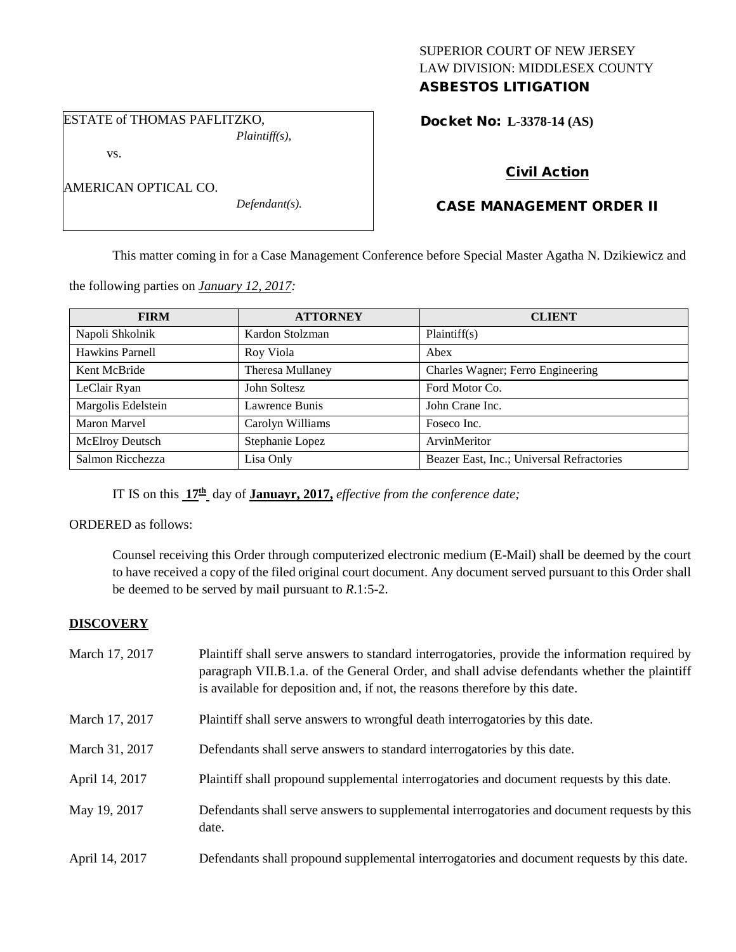# SUPERIOR COURT OF NEW JERSEY LAW DIVISION: MIDDLESEX COUNTY ASBESTOS LITIGATION

ESTATE of THOMAS PAFLITZKO, *Plaintiff(s),*

vs.

| AMERICAN OPTICAL CO. |  |
|----------------------|--|
|----------------------|--|

*Defendant(s).*

# Docket No: **L-3378-14 (AS)**

# Civil Action

# CASE MANAGEMENT ORDER II

This matter coming in for a Case Management Conference before Special Master Agatha N. Dzikiewicz and

the following parties on *January 12, 2017:*

| <b>FIRM</b>            | <b>ATTORNEY</b>  | <b>CLIENT</b>                             |
|------------------------|------------------|-------------------------------------------|
| Napoli Shkolnik        | Kardon Stolzman  | Plaintiff(s)                              |
| Hawkins Parnell        | Roy Viola        | Abex                                      |
| Kent McBride           | Theresa Mullaney | Charles Wagner; Ferro Engineering         |
| LeClair Ryan           | John Soltesz     | Ford Motor Co.                            |
| Margolis Edelstein     | Lawrence Bunis   | John Crane Inc.                           |
| <b>Maron Marvel</b>    | Carolyn Williams | Foseco Inc.                               |
| <b>McElroy Deutsch</b> | Stephanie Lopez  | ArvinMeritor                              |
| Salmon Ricchezza       | Lisa Only        | Beazer East, Inc.; Universal Refractories |

IT IS on this **17th** day of **Januayr, 2017,** *effective from the conference date;*

### ORDERED as follows:

Counsel receiving this Order through computerized electronic medium (E-Mail) shall be deemed by the court to have received a copy of the filed original court document. Any document served pursuant to this Order shall be deemed to be served by mail pursuant to *R*.1:5-2.

# **DISCOVERY**

| March 17, 2017 | Plaintiff shall serve answers to standard interrogatories, provide the information required by<br>paragraph VII.B.1.a. of the General Order, and shall advise defendants whether the plaintiff<br>is available for deposition and, if not, the reasons therefore by this date. |
|----------------|--------------------------------------------------------------------------------------------------------------------------------------------------------------------------------------------------------------------------------------------------------------------------------|
| March 17, 2017 | Plaintiff shall serve answers to wrongful death interrogatories by this date.                                                                                                                                                                                                  |
| March 31, 2017 | Defendants shall serve answers to standard interrogatories by this date.                                                                                                                                                                                                       |
| April 14, 2017 | Plaintiff shall propound supplemental interrogatories and document requests by this date.                                                                                                                                                                                      |
| May 19, 2017   | Defendants shall serve answers to supplemental interrogatories and document requests by this<br>date.                                                                                                                                                                          |
| April 14, 2017 | Defendants shall propound supplemental interrogatories and document requests by this date.                                                                                                                                                                                     |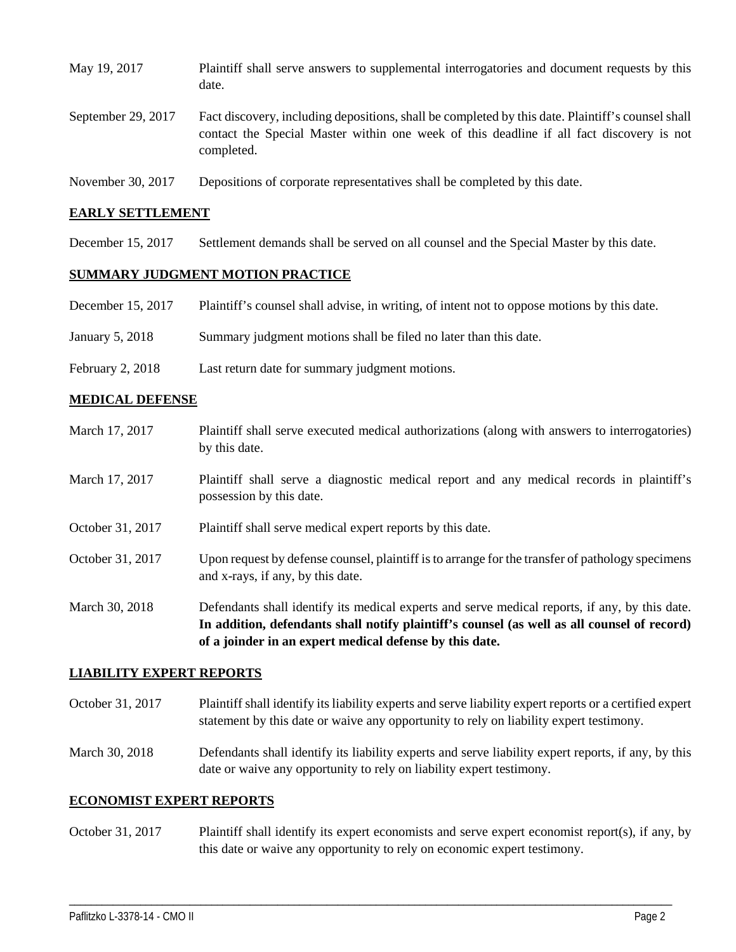| May 19, 2017       | Plaintiff shall serve answers to supplemental interrogatories and document requests by this<br>date.                                                                                                        |
|--------------------|-------------------------------------------------------------------------------------------------------------------------------------------------------------------------------------------------------------|
| September 29, 2017 | Fact discovery, including depositions, shall be completed by this date. Plaintiff's counsel shall<br>contact the Special Master within one week of this deadline if all fact discovery is not<br>completed. |
| November 30, 2017  | Depositions of corporate representatives shall be completed by this date.                                                                                                                                   |

#### **EARLY SETTLEMENT**

December 15, 2017 Settlement demands shall be served on all counsel and the Special Master by this date.

### **SUMMARY JUDGMENT MOTION PRACTICE**

- December 15, 2017 Plaintiff's counsel shall advise, in writing, of intent not to oppose motions by this date.
- January 5, 2018 Summary judgment motions shall be filed no later than this date.
- February 2, 2018 Last return date for summary judgment motions.

#### **MEDICAL DEFENSE**

March 17, 2017 Plaintiff shall serve executed medical authorizations (along with answers to interrogatories) by this date. March 17, 2017 Plaintiff shall serve a diagnostic medical report and any medical records in plaintiff's possession by this date. October 31, 2017 Plaintiff shall serve medical expert reports by this date. October 31, 2017 Upon request by defense counsel, plaintiff is to arrange for the transfer of pathology specimens and x-rays, if any, by this date. March 30, 2018 Defendants shall identify its medical experts and serve medical reports, if any, by this date. **In addition, defendants shall notify plaintiff's counsel (as well as all counsel of record) of a joinder in an expert medical defense by this date.**

#### **LIABILITY EXPERT REPORTS**

- October 31, 2017 Plaintiff shall identify its liability experts and serve liability expert reports or a certified expert statement by this date or waive any opportunity to rely on liability expert testimony.
- March 30, 2018 Defendants shall identify its liability experts and serve liability expert reports, if any, by this date or waive any opportunity to rely on liability expert testimony.

#### **ECONOMIST EXPERT REPORTS**

October 31, 2017 Plaintiff shall identify its expert economists and serve expert economist report(s), if any, by this date or waive any opportunity to rely on economic expert testimony.

\_\_\_\_\_\_\_\_\_\_\_\_\_\_\_\_\_\_\_\_\_\_\_\_\_\_\_\_\_\_\_\_\_\_\_\_\_\_\_\_\_\_\_\_\_\_\_\_\_\_\_\_\_\_\_\_\_\_\_\_\_\_\_\_\_\_\_\_\_\_\_\_\_\_\_\_\_\_\_\_\_\_\_\_\_\_\_\_\_\_\_\_\_\_\_\_\_\_\_\_\_\_\_\_\_\_\_\_\_\_